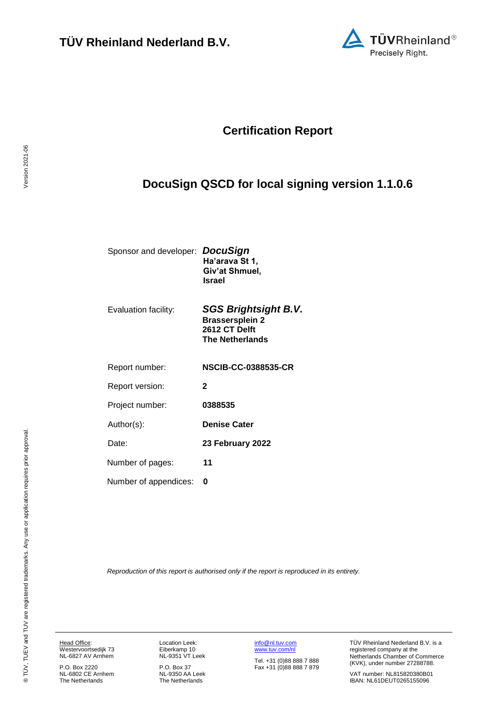

## **Certification Report**

# <span id="page-0-4"></span><span id="page-0-3"></span>**DocuSign QSCD for local signing version 1.1.0.6**

| Sponsor and developer: DocuSign | Ha'arava St 1,<br>Giv'at Shmuel,<br><b>Israel</b> |
|---------------------------------|---------------------------------------------------|
| Evaluation facility:            | <b>SGS Brightsight B.V.</b>                       |

<span id="page-0-2"></span><span id="page-0-1"></span><span id="page-0-0"></span>

| <b>Brassersplein 2</b><br>2612 CT Delft<br><b>The Netherlands</b> |
|-------------------------------------------------------------------|
| <b>NSCIB-CC-0388535-CR</b>                                        |
| $\mathbf{2}$                                                      |
| 0388535                                                           |
| <b>Denise Cater</b>                                               |
| 23 February 2022                                                  |
| 11                                                                |
| 0                                                                 |
|                                                                   |

*Reproduction of this report is authorised only if the report is reproduced in its entirety.*

Head Office: Westervoortsedijk 73 NL-6827 AV Arnhem

P.O. Box 2220 NL-6802 CE Arnhem The Netherlands Location Leek: Eiberkamp 10 NL-9351 VT Leek

P.O. Box 37 NL-9350 AA Leek The Netherlands [info@nl.tuv.com](mailto:info@nl.tuv.com) [www.tuv.com/nl](http://www.tuv.com/nl)

Tel. +31 (0)88 888 7 888 Fax +31 (0)88 888 7 879 TÜV Rheinland Nederland B.V. is a registered company at the Netherlands Chamber of Commerce (KVK), under number 27288788.

VAT number: NL815820380B01 IBAN: NL61DEUT0265155096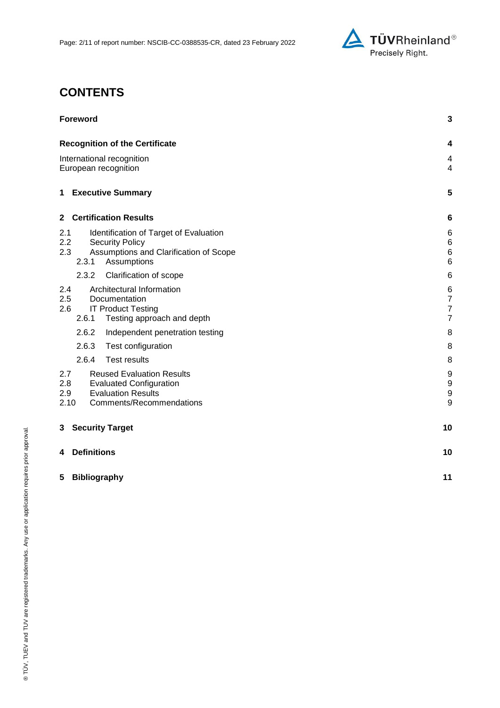

# **CONTENTS**

| <b>Foreword</b>                                                                                                                                          | 3                                                       |
|----------------------------------------------------------------------------------------------------------------------------------------------------------|---------------------------------------------------------|
| <b>Recognition of the Certificate</b>                                                                                                                    | 4                                                       |
| International recognition<br>European recognition                                                                                                        | 4<br>$\overline{4}$                                     |
| <b>1 Executive Summary</b>                                                                                                                               | 5                                                       |
| 2 Certification Results                                                                                                                                  | 6                                                       |
| 2.1<br>Identification of Target of Evaluation<br>2.2<br><b>Security Policy</b><br>2.3<br>Assumptions and Clarification of Scope<br>2.3.1<br>Assumptions  | 6<br>$\,6$<br>$\,6$<br>$6\phantom{1}6$                  |
| 2.3.2<br>Clarification of scope                                                                                                                          | 6                                                       |
| Architectural Information<br>2.4<br>2.5<br>Documentation<br>2.6<br><b>IT Product Testing</b><br>2.6.1<br>Testing approach and depth                      | 6<br>$\overline{7}$<br>$\overline{7}$<br>$\overline{7}$ |
| 2.6.2<br>Independent penetration testing                                                                                                                 | 8                                                       |
| 2.6.3<br>Test configuration                                                                                                                              | 8                                                       |
| 2.6.4<br><b>Test results</b>                                                                                                                             | 8                                                       |
| 2.7<br><b>Reused Evaluation Results</b><br>2.8<br><b>Evaluated Configuration</b><br><b>Evaluation Results</b><br>2.9<br>2.10<br>Comments/Recommendations | 9<br>$\boldsymbol{9}$<br>$\boldsymbol{9}$<br>9          |
| <b>Security Target</b><br>3                                                                                                                              | 10                                                      |
| <b>Definitions</b><br>4                                                                                                                                  | 10                                                      |
| <b>Bibliography</b><br>5                                                                                                                                 | 11                                                      |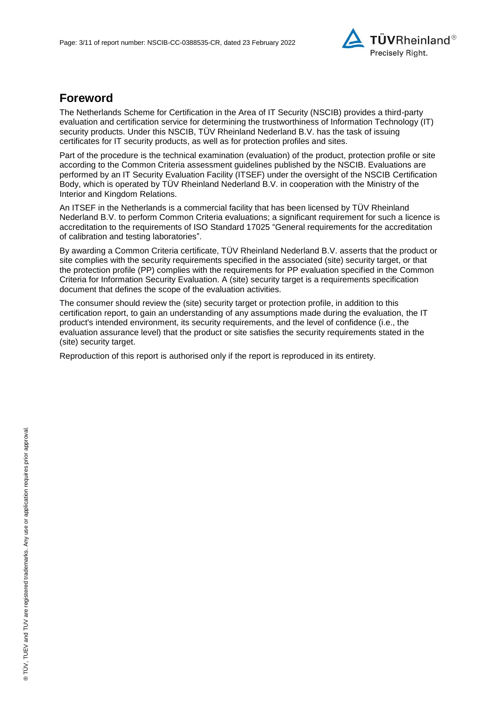

## **Foreword**

The Netherlands Scheme for Certification in the Area of IT Security (NSCIB) provides a third-party evaluation and certification service for determining the trustworthiness of Information Technology (IT) security products. Under this NSCIB, TÜV Rheinland Nederland B.V. has the task of issuing certificates for IT security products, as well as for protection profiles and sites.

Part of the procedure is the technical examination (evaluation) of the product, protection profile or site according to the Common Criteria assessment guidelines published by the NSCIB. Evaluations are performed by an IT Security Evaluation Facility (ITSEF) under the oversight of the NSCIB Certification Body, which is operated by TÜV Rheinland Nederland B.V. in cooperation with the Ministry of the Interior and Kingdom Relations.

An ITSEF in the Netherlands is a commercial facility that has been licensed by TÜV Rheinland Nederland B.V. to perform Common Criteria evaluations; a significant requirement for such a licence is accreditation to the requirements of ISO Standard 17025 "General requirements for the accreditation of calibration and testing laboratories".

By awarding a Common Criteria certificate, TÜV Rheinland Nederland B.V. asserts that the product or site complies with the security requirements specified in the associated (site) security target, or that the protection profile (PP) complies with the requirements for PP evaluation specified in the Common Criteria for Information Security Evaluation. A (site) security target is a requirements specification document that defines the scope of the evaluation activities.

The consumer should review the (site) security target or protection profile, in addition to this certification report, to gain an understanding of any assumptions made during the evaluation, the IT product's intended environment, its security requirements, and the level of confidence (i.e., the evaluation assurance level) that the product or site satisfies the security requirements stated in the (site) security target.

Reproduction of this report is authorised only if the report is reproduced in its entirety.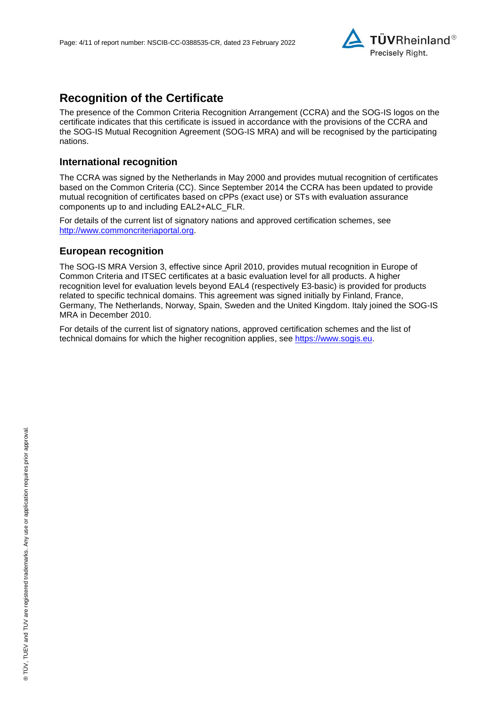

## **Recognition of the Certificate**

The presence of the Common Criteria Recognition Arrangement (CCRA) and the SOG-IS logos on the certificate indicates that this certificate is issued in accordance with the provisions of the CCRA and the SOG-IS Mutual Recognition Agreement (SOG-IS MRA) and will be recognised by the participating nations.

#### **International recognition**

The CCRA was signed by the Netherlands in May 2000 and provides mutual recognition of certificates based on the Common Criteria (CC). Since September 2014 the CCRA has been updated to provide mutual recognition of certificates based on cPPs (exact use) or STs with evaluation assurance components up to and including EAL2+ALC\_FLR.

For details of the current list of signatory nations and approved certification schemes, see [http://www.commoncriteriaportal.org.](http://www.commoncriteriaportal.org/)

#### **European recognition**

The SOG-IS MRA Version 3, effective since April 2010, provides mutual recognition in Europe of Common Criteria and ITSEC certificates at a basic evaluation level for all products. A higher recognition level for evaluation levels beyond EAL4 (respectively E3-basic) is provided for products related to specific technical domains. This agreement was signed initially by Finland, France, Germany, The Netherlands, Norway, Spain, Sweden and the United Kingdom. Italy joined the SOG-IS MRA in December 2010.

For details of the current list of signatory nations, approved certification schemes and the list of technical domains for which the higher recognition applies, see [https://www.sogis.eu.](https://www.sogis.eu/)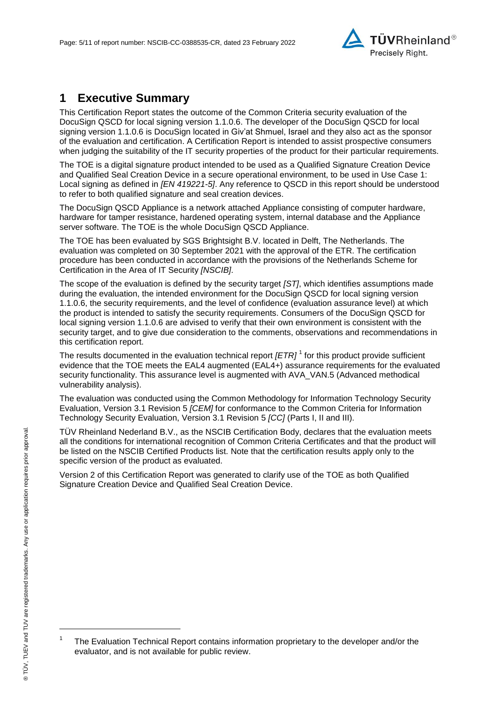<span id="page-4-2"></span>

## **1 Executive Summary**

This Certification Report states the outcome of the Common Criteria security evaluation of the [DocuSign QSCD for local signing version 1.1.0.6.](#page-0-3) The developer of the [DocuSign QSCD for local](#page-0-3)  [signing version 1.1.0.6](#page-0-3) is [DocuSign](#page-0-4) located in Giv'at Shmuel, Israel and they also act as the sponsor of the evaluation and certification. A Certification Report is intended to assist prospective consumers when judging the suitability of the IT security properties of the product for their particular requirements.

The TOE is a digital signature product intended to be used as a Qualified Signature Creation Device and Qualified Seal Creation Device in a secure operational environment, to be used in Use Case 1: Local signing as defined in *[EN 419221-5]*. Any reference to QSCD in this report should be understood to refer to both qualified signature and seal creation devices.

The DocuSign QSCD Appliance is a network attached Appliance consisting of computer hardware, hardware for tamper resistance, hardened operating system, internal database and the Appliance server software. The TOE is the whole DocuSign QSCD Appliance.

The TOE has been evaluated by SGS Brightsight B.V. located in Delft, The Netherlands. The evaluation was completed on 30 September 2021 with the approval of the ETR. The certification procedure has been conducted in accordance with the provisions of the Netherlands Scheme for Certification in the Area of IT Security *[NSCIB]*.

The scope of the evaluation is defined by the security target *[ST]*, which identifies assumptions made during the evaluation, the intended environment for the [DocuSign QSCD for local signing version](#page-0-3)  [1.1.0.6,](#page-0-3) the security requirements, and the level of confidence (evaluation assurance level) at which the product is intended to satisfy the security requirements. Consumers of the [DocuSign QSCD for](#page-0-3)  [local signing version 1.1.0.6](#page-0-3) are advised to verify that their own environment is consistent with the security target, and to give due consideration to the comments, observations and recommendations in this certification report.

<span id="page-4-0"></span>The results documented in the evaluation technical report *[ETR]* <sup>1</sup> for this product provide sufficient evidence that the TOE meets the EAL4 augmented (EA[L4+](#page-4-0)) assurance requirements for the evaluated security functionality. This assurance level is augmented with AVA\_VAN.5 (Advanced methodical vulnerability analysis).

<span id="page-4-1"></span>The evaluation was conducted using the Common Methodology for Information Technology Security Evaluation, Version 3.1 Revision 5 *[CEM]* for conformance to the Common Criteria for Information Technology Security Evaluation, Version 3.1 Revision [5](#page-4-1) *[CC]* (Parts I, II and III).

TÜV Rheinland Nederland B.V., as the NSCIB Certification Body, declares that the evaluation meets all the conditions for international recognition of Common Criteria Certificates and that the product will be listed on the NSCIB Certified Products list. Note that the certification results apply only to the specific version of the product as evaluated.

Version 2 of this Certification Report was generated to clarify use of the TOE as both Qualified Signature Creation Device and Qualified Seal Creation Device.

l

<sup>1</sup> The Evaluation Technical Report contains information proprietary to the developer and/or the evaluator, and is not available for public review.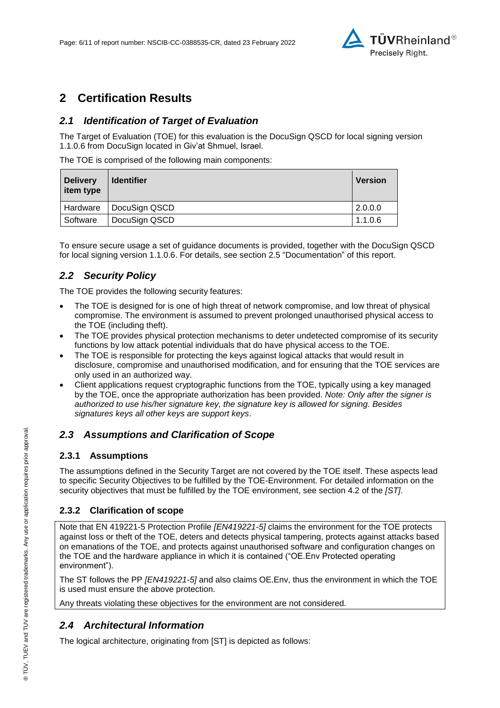

## **2 Certification Results**

### *2.1 Identification of Target of Evaluation*

The Target of Evaluation (TOE) for this evaluation is the [DocuSign QSCD for local signing version](#page-0-3)  [1.1.0.6](#page-0-3) from [DocuSign](#page-0-4) located in [Giv'at Shmuel, Israel.](#page-4-2)

The TOE is comprised of the following main components:

| <b>Delivery</b><br>item type | <b>Identifier</b> | <b>Version</b> |
|------------------------------|-------------------|----------------|
| Hardware                     | DocuSign QSCD     | 2.0.0.0        |
| Software                     | DocuSign QSCD     | 1.1.06         |

To ensure secure usage a set of guidance documents is provided, together with the [DocuSign QSCD](#page-0-3)  [for local signing version 1.1.0.6.](#page-0-3) For details, see section [2.5](#page-6-0) ["Documentation"](#page-6-0) of this report.

### *2.2 Security Policy*

The TOE provides the following security features:

- The TOE is designed for is one of high threat of network compromise, and low threat of physical compromise. The environment is assumed to prevent prolonged unauthorised physical access to the TOE (including theft).
- The TOE provides physical protection mechanisms to deter undetected compromise of its security functions by low attack potential individuals that do have physical access to the TOE.
- The TOE is responsible for protecting the keys against logical attacks that would result in disclosure, compromise and unauthorised modification, and for ensuring that the TOE services are only used in an authorized way.
- Client applications request cryptographic functions from the TOE, typically using a key managed by the TOE, once the appropriate authorization has been provided. *Note: Only after the signer is authorized to use his/her signature key, the signature key is allowed for signing. Besides signatures keys all other keys are support keys*.

#### *2.3 Assumptions and Clarification of Scope*

#### **2.3.1 Assumptions**

The assumptions defined in the Security Target are not covered by the TOE itself. These aspects lead to specific Security Objectives to be fulfilled by the TOE-Environment. For detailed information on the security objectives that must be fulfilled by the TOE environment, see section 4.2 of the *[ST]*.

#### **2.3.2 Clarification of scope**

Note that EN 419221-5 Protection Profile *[EN419221-5]* claims the environment for the TOE protects against loss or theft of the TOE, deters and detects physical tampering, protects against attacks based on emanations of the TOE, and protects against unauthorised software and configuration changes on the TOE and the hardware appliance in which it is contained ("OE.Env Protected operating environment").

The ST follows the PP *[EN419221-5]* and also claims OE.Env, thus the environment in which the TOE is used must ensure the above protection.

Any threats violating these objectives for the environment are not considered.

### *2.4 Architectural Information*

The logical architecture, originating from [ST] is depicted as follows: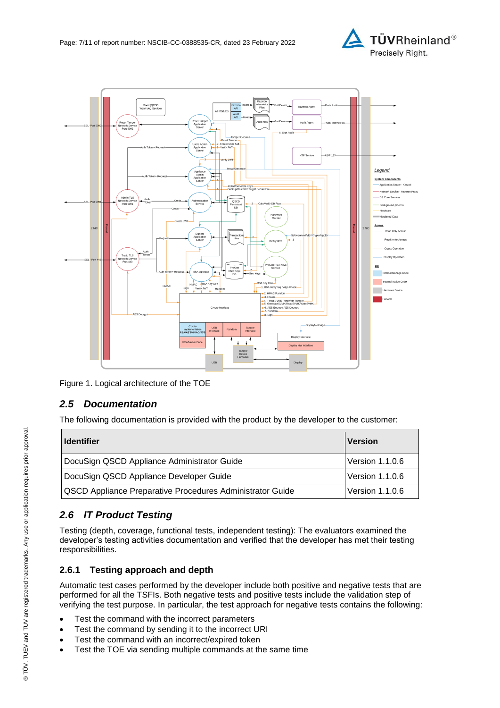



Figure 1. Logical architecture of the TOE

### <span id="page-6-0"></span>*2.5 Documentation*

The following documentation is provided with the product by the developer to the customer:

| <b>Identifier</b>                                                                          | <b>Version</b>  |
|--------------------------------------------------------------------------------------------|-----------------|
| DocuSign QSCD Appliance Administrator Guide                                                | Version 1.1.0.6 |
| DocuSign QSCD Appliance Developer Guide<br><b>Version 1.1.0.6</b>                          |                 |
| <b>QSCD Appliance Preparative Procedures Administrator Guide</b><br><b>Version 1.1.0.6</b> |                 |

### *2.6 IT Product Testing*

Testing (depth, coverage, functional tests, independent testing): The evaluators examined the developer's testing activities documentation and verified that the developer has met their testing responsibilities.

### **2.6.1 Testing approach and depth**

Automatic test cases performed by the developer include both positive and negative tests that are performed for all the TSFIs. Both negative tests and positive tests include the validation step of verifying the test purpose. In particular, the test approach for negative tests contains the following:

- Test the command with the incorrect parameters
- Test the command by sending it to the incorrect URI
- Test the command with an incorrect/expired token
- Test the TOE via sending multiple commands at the same time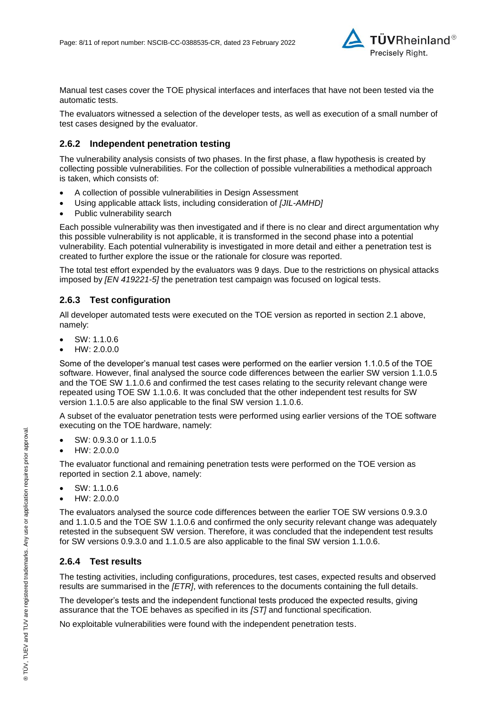

Manual test cases cover the TOE physical interfaces and interfaces that have not been tested via the automatic tests.

The evaluators witnessed a selection of the developer tests, as well as execution of a small number of test cases designed by the evaluator.

#### **2.6.2 Independent penetration testing**

The vulnerability analysis consists of two phases. In the first phase, a flaw hypothesis is created by collecting possible vulnerabilities. For the collection of possible vulnerabilities a methodical approach is taken, which consists of:

- A collection of possible vulnerabilities in Design Assessment
- Using applicable attack lists, including consideration of *[JIL-AMHD]*
- Public vulnerability search

Each possible vulnerability was then investigated and if there is no clear and direct argumentation why this possible vulnerability is not applicable, it is transformed in the second phase into a potential vulnerability. Each potential vulnerability is investigated in more detail and either a penetration test is created to further explore the issue or the rationale for closure was reported.

The total test effort expended by the evaluators was 9 days. Due to the restrictions on physical attacks imposed by *[EN 419221-5]* the penetration test campaign was focused on logical tests.

#### **2.6.3 Test configuration**

All developer automated tests were executed on the TOE version as reported in section 2.1 above, namely:

- SW: 1.1.0.6
- HW: 2.0.0.0

Some of the developer's manual test cases were performed on the earlier version 1.1.0.5 of the TOE software. However, final analysed the source code differences between the earlier SW version 1.1.0.5 and the TOE SW 1.1.0.6 and confirmed the test cases relating to the security relevant change were repeated using TOE SW 1.1.0.6. It was concluded that the other independent test results for SW version 1.1.0.5 are also applicable to the final SW version 1.1.0.6.

A subset of the evaluator penetration tests were performed using earlier versions of the TOE software executing on the TOE hardware, namely:

- SW: 0.9.3.0 or 1.1.0.5
- HW: 2.0.0.0

The evaluator functional and remaining penetration tests were performed on the TOE version as reported in section 2.1 above, namely:

- SW: 1.1.0.6
- HW: 2.0.0.0

The evaluators analysed the source code differences between the earlier TOE SW versions 0.9.3.0 and 1.1.0.5 and the TOE SW 1.1.0.6 and confirmed the only security relevant change was adequately retested in the subsequent SW version. Therefore, it was concluded that the independent test results for SW versions 0.9.3.0 and 1.1.0.5 are also applicable to the final SW version 1.1.0.6.

#### **2.6.4 Test results**

The testing activities, including configurations, procedures, test cases, expected results and observed results are summarised in the *[ETR]*, with references to the documents containing the full details.

The developer's tests and the independent functional tests produced the expected results, giving assurance that the TOE behaves as specified in its *[ST]* and functional specification.

No exploitable vulnerabilities were found with the independent penetration tests.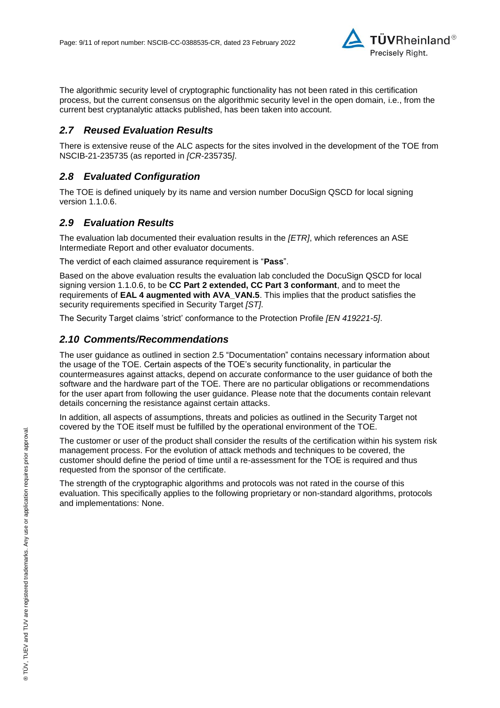

The algorithmic security level of cryptographic functionality has not been rated in this certification process, but the current consensus on the algorithmic security level in the open domain, i.e., from the current best cryptanalytic attacks published, has been taken into account.

### *2.7 Reused Evaluation Results*

There is extensive reuse of the ALC aspects for the sites involved in the development of the TOE from NSCIB-21-235735 (as reported in *[CR-*235735*]*.

### *2.8 Evaluated Configuration*

The TOE is defined uniquely by its name and version number [DocuSign QSCD for local signing](#page-0-3)  [version 1.1.0.6.](#page-0-3)

### *2.9 Evaluation Results*

The evaluation lab documented their evaluation results in the *[ETR]*, which references an ASE Intermediate Report and other evaluator documents.

The verdict of each claimed assurance requirement is "**Pass**".

Based on the above evaluation results the evaluation lab concluded the [DocuSign QSCD for local](#page-0-3)  [signing version 1.1.0.6,](#page-0-3) to be **CC Part 2 extended, CC Part 3 conformant**, and to meet the requirements of **EAL [4](#page-4-0) augmented with AVA\_VAN.5**. This implies that the product satisfies the security requirements specified in Security Target *[ST]*.

The Security Target claims 'strict' conformance to the Protection Profile *[EN 419221-5]*.

#### *2.10 Comments/Recommendations*

The user guidance as outlined in section [2.5](#page-6-0) ["Documentation"](#page-6-0) contains necessary information about the usage of the TOE. Certain aspects of the TOE's security functionality, in particular the countermeasures against attacks, depend on accurate conformance to the user guidance of both the software and the hardware part of the TOE. There are no particular obligations or recommendations for the user apart from following the user guidance. Please note that the documents contain relevant details concerning the resistance against certain attacks.

In addition, all aspects of assumptions, threats and policies as outlined in the Security Target not covered by the TOE itself must be fulfilled by the operational environment of the TOE.

The customer or user of the product shall consider the results of the certification within his system risk management process. For the evolution of attack methods and techniques to be covered, the customer should define the period of time until a re-assessment for the TOE is required and thus requested from the sponsor of the certificate.

The strength of the cryptographic algorithms and protocols was not rated in the course of this evaluation. This specifically applies to the following proprietary or non-standard algorithms, protocols and implementations: None.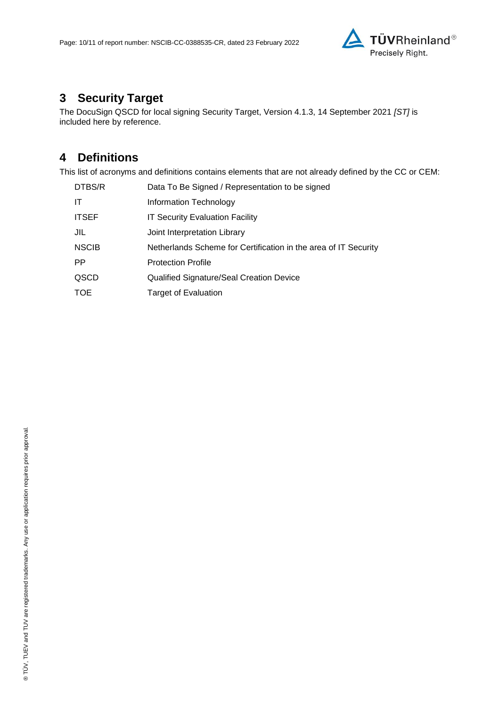

# **3 Security Target**

The [DocuSign QSCD for local signing Security Target, Version 4.1.3, 14 September 2021](#page-10-0) *[ST]* is included here by reference.

## **4 Definitions**

This list of acronyms and definitions contains elements that are not already defined by the CC or CEM:

| DTBS/R       | Data To Be Signed / Representation to be signed                 |
|--------------|-----------------------------------------------------------------|
| IT           | Information Technology                                          |
| <b>ITSEF</b> | <b>IT Security Evaluation Facility</b>                          |
| JIL          | Joint Interpretation Library                                    |
| <b>NSCIB</b> | Netherlands Scheme for Certification in the area of IT Security |
| <b>PP</b>    | <b>Protection Profile</b>                                       |
| QSCD         | Qualified Signature/Seal Creation Device                        |
| <b>TOE</b>   | <b>Target of Evaluation</b>                                     |